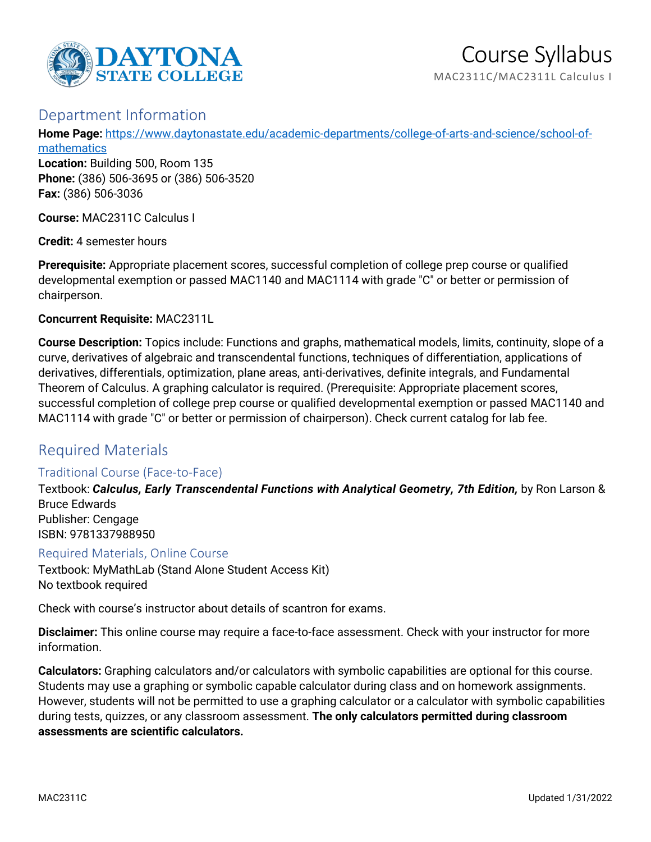

## Department Information

**Home Page:** [https://www.daytonastate.edu/academic-departments/college-of-arts-and-science/school-of](https://www.daytonastate.edu/academic-departments/college-of-arts-and-science/school-of-mathematics)[mathematics](https://www.daytonastate.edu/academic-departments/college-of-arts-and-science/school-of-mathematics)

**Location:** Building 500, Room 135 **Phone:** (386) 506-3695 or (386) 506-3520 **Fax:** (386) 506-3036

**Course:** MAC2311C Calculus I

**Credit:** 4 semester hours

**Prerequisite:** Appropriate placement scores, successful completion of college prep course or qualified developmental exemption or passed MAC1140 and MAC1114 with grade "C" or better or permission of chairperson.

#### **Concurrent Requisite:** MAC2311L

**Course Description:** Topics include: Functions and graphs, mathematical models, limits, continuity, slope of a curve, derivatives of algebraic and transcendental functions, techniques of differentiation, applications of derivatives, differentials, optimization, plane areas, anti-derivatives, definite integrals, and Fundamental Theorem of Calculus. A graphing calculator is required. (Prerequisite: Appropriate placement scores, successful completion of college prep course or qualified developmental exemption or passed MAC1140 and MAC1114 with grade "C" or better or permission of chairperson). Check current catalog for lab fee.

## Required Materials

### Traditional Course (Face-to-Face)

Textbook: *Calculus, Early Transcendental Functions with Analytical Geometry, 7th Edition,* by Ron Larson & Bruce Edwards Publisher: Cengage ISBN: 9781337988950

Required Materials, Online Course

Textbook: MyMathLab (Stand Alone Student Access Kit) No textbook required

Check with course's instructor about details of scantron for exams.

**Disclaimer:** This online course may require a face-to-face assessment. Check with your instructor for more information.

**Calculators:** Graphing calculators and/or calculators with symbolic capabilities are optional for this course. Students may use a graphing or symbolic capable calculator during class and on homework assignments. However, students will not be permitted to use a graphing calculator or a calculator with symbolic capabilities during tests, quizzes, or any classroom assessment. **The only calculators permitted during classroom assessments are scientific calculators.**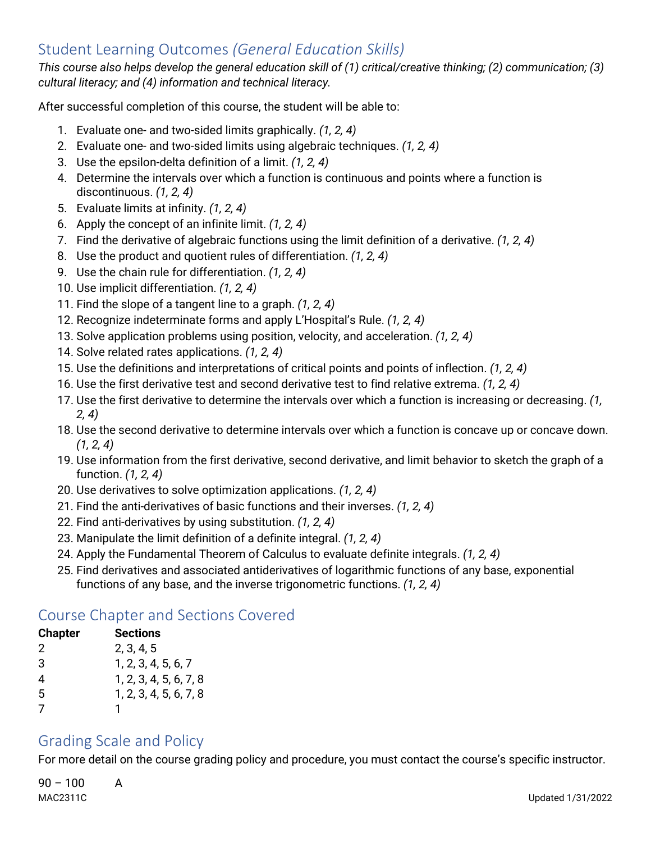# Student Learning Outcomes *(General Education Skills)*

*This course also helps develop the general education skill of (1) critical/creative thinking; (2) communication; (3) cultural literacy; and (4) information and technical literacy.*

After successful completion of this course, the student will be able to:

- 1. Evaluate one- and two-sided limits graphically. *(1, 2, 4)*
- 2. Evaluate one- and two-sided limits using algebraic techniques. *(1, 2, 4)*
- 3. Use the epsilon-delta definition of a limit. *(1, 2, 4)*
- 4. Determine the intervals over which a function is continuous and points where a function is discontinuous. *(1, 2, 4)*
- 5. Evaluate limits at infinity. *(1, 2, 4)*
- 6. Apply the concept of an infinite limit. *(1, 2, 4)*
- 7. Find the derivative of algebraic functions using the limit definition of a derivative. *(1, 2, 4)*
- 8. Use the product and quotient rules of differentiation. *(1, 2, 4)*
- 9. Use the chain rule for differentiation. *(1, 2, 4)*
- 10. Use implicit differentiation. *(1, 2, 4)*
- 11. Find the slope of a tangent line to a graph. *(1, 2, 4)*
- 12. Recognize indeterminate forms and apply L'Hospital's Rule. *(1, 2, 4)*
- 13. Solve application problems using position, velocity, and acceleration. *(1, 2, 4)*
- 14. Solve related rates applications. *(1, 2, 4)*
- 15. Use the definitions and interpretations of critical points and points of inflection. *(1, 2, 4)*
- 16. Use the first derivative test and second derivative test to find relative extrema. *(1, 2, 4)*
- 17. Use the first derivative to determine the intervals over which a function is increasing or decreasing. *(1, 2, 4)*
- 18. Use the second derivative to determine intervals over which a function is concave up or concave down. *(1, 2, 4)*
- 19. Use information from the first derivative, second derivative, and limit behavior to sketch the graph of a function. *(1, 2, 4)*
- 20. Use derivatives to solve optimization applications. *(1, 2, 4)*
- 21. Find the anti-derivatives of basic functions and their inverses. *(1, 2, 4)*
- 22. Find anti-derivatives by using substitution. *(1, 2, 4)*
- 23. Manipulate the limit definition of a definite integral. *(1, 2, 4)*
- 24. Apply the Fundamental Theorem of Calculus to evaluate definite integrals. *(1, 2, 4)*
- 25. Find derivatives and associated antiderivatives of logarithmic functions of any base, exponential functions of any base, and the inverse trigonometric functions. *(1, 2, 4)*

## Course Chapter and Sections Covered

| <b>Chapter</b> | Sections               |
|----------------|------------------------|
| 2              | 2, 3, 4, 5             |
| 3              | 1, 2, 3, 4, 5, 6, 7    |
| 4              | 1, 2, 3, 4, 5, 6, 7, 8 |
| 5              | 1, 2, 3, 4, 5, 6, 7, 8 |
| 7              |                        |

# Grading Scale and Policy

For more detail on the course grading policy and procedure, you must contact the course's specific instructor.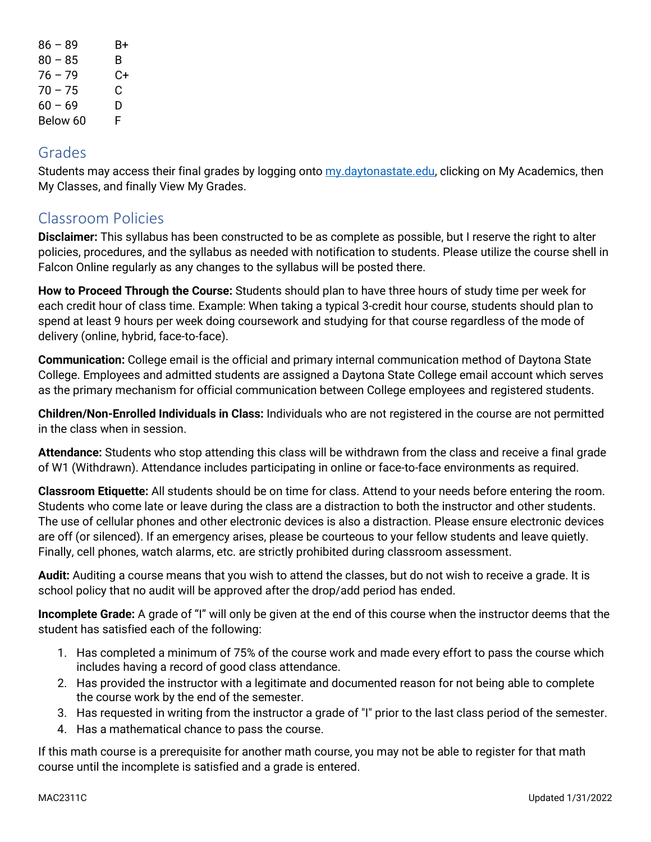| $86 - 89$ | B+ |
|-----------|----|
| $80 - 85$ | В. |
| $76 - 79$ | C+ |
| $70 - 75$ | C. |
| $60 - 69$ | D  |
| Below 60  | F  |

### Grades

Students may access their final grades by logging onto [my.daytonastate.edu,](https://my.daytonastate.edu/) clicking on My Academics, then My Classes, and finally View My Grades.

# Classroom Policies

**Disclaimer:** This syllabus has been constructed to be as complete as possible, but I reserve the right to alter policies, procedures, and the syllabus as needed with notification to students. Please utilize the course shell in Falcon Online regularly as any changes to the syllabus will be posted there.

**How to Proceed Through the Course:** Students should plan to have three hours of study time per week for each credit hour of class time. Example: When taking a typical 3-credit hour course, students should plan to spend at least 9 hours per week doing coursework and studying for that course regardless of the mode of delivery (online, hybrid, face-to-face).

**Communication:** College email is the official and primary internal communication method of Daytona State College. Employees and admitted students are assigned a Daytona State College email account which serves as the primary mechanism for official communication between College employees and registered students.

**Children/Non-Enrolled Individuals in Class:** Individuals who are not registered in the course are not permitted in the class when in session.

**Attendance:** Students who stop attending this class will be withdrawn from the class and receive a final grade of W1 (Withdrawn). Attendance includes participating in online or face-to-face environments as required.

**Classroom Etiquette:** All students should be on time for class. Attend to your needs before entering the room. Students who come late or leave during the class are a distraction to both the instructor and other students. The use of cellular phones and other electronic devices is also a distraction. Please ensure electronic devices are off (or silenced). If an emergency arises, please be courteous to your fellow students and leave quietly. Finally, cell phones, watch alarms, etc. are strictly prohibited during classroom assessment.

**Audit:** Auditing a course means that you wish to attend the classes, but do not wish to receive a grade. It is school policy that no audit will be approved after the drop/add period has ended.

**Incomplete Grade:** A grade of "I" will only be given at the end of this course when the instructor deems that the student has satisfied each of the following:

- 1. Has completed a minimum of 75% of the course work and made every effort to pass the course which includes having a record of good class attendance.
- 2. Has provided the instructor with a legitimate and documented reason for not being able to complete the course work by the end of the semester.
- 3. Has requested in writing from the instructor a grade of "I" prior to the last class period of the semester.
- 4. Has a mathematical chance to pass the course.

If this math course is a prerequisite for another math course, you may not be able to register for that math course until the incomplete is satisfied and a grade is entered.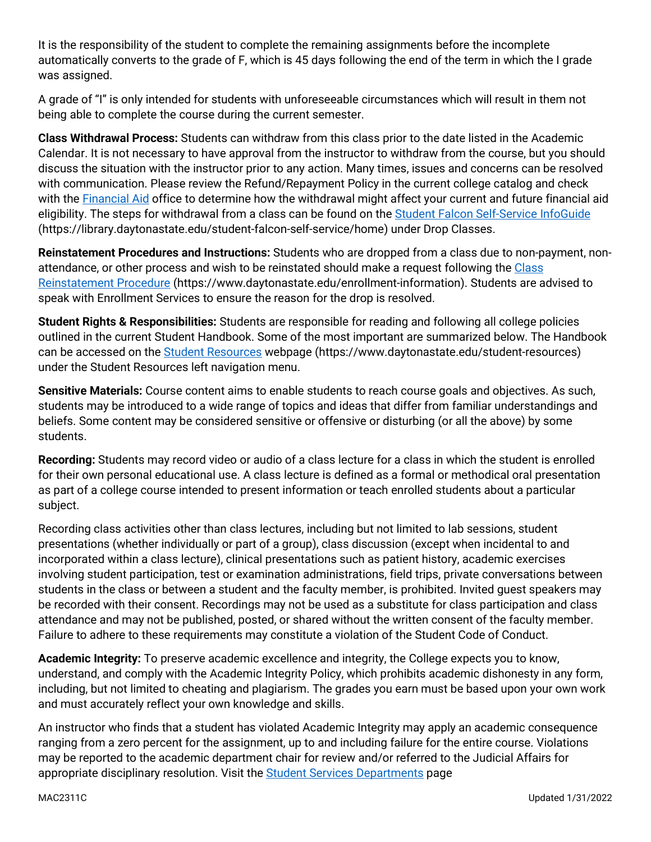It is the responsibility of the student to complete the remaining assignments before the incomplete automatically converts to the grade of F, which is 45 days following the end of the term in which the I grade was assigned.

A grade of "I" is only intended for students with unforeseeable circumstances which will result in them not being able to complete the course during the current semester.

**Class Withdrawal Process:** Students can withdraw from this class prior to the date listed in the Academic Calendar. It is not necessary to have approval from the instructor to withdraw from the course, but you should discuss the situation with the instructor prior to any action. Many times, issues and concerns can be resolved with communication. Please review the Refund/Repayment Policy in the current college catalog and check with the [Financial Aid](https://www.daytonastate.edu/financial-aid) office to determine how the withdrawal might affect your current and future financial aid eligibility. The steps for withdrawal from a class can be found on the [Student Falcon Self-Service InfoGuide](https://library.daytonastate.edu/student-falcon-self-service/home) (https://library.daytonastate.edu/student-falcon-self-service/home) under Drop Classes.

**Reinstatement Procedures and Instructions:** Students who are dropped from a class due to non-payment, nonattendance, or other process and wish to be reinstated should make a request following the Class [Reinstatement Procedure](https://www.daytonastate.edu/enrollment-information/index.html) (https://www.daytonastate.edu/enrollment-information). Students are advised to speak with Enrollment Services to ensure the reason for the drop is resolved.

**Student Rights & Responsibilities:** Students are responsible for reading and following all college policies outlined in the current Student Handbook. Some of the most important are summarized below. The Handbook can be accessed on the [Student Resources](https://www.daytonastate.edu/student-resources) webpage (https://www.daytonastate.edu/student-resources) under the Student Resources left navigation menu.

**Sensitive Materials:** Course content aims to enable students to reach course goals and objectives. As such, students may be introduced to a wide range of topics and ideas that differ from familiar understandings and beliefs. Some content may be considered sensitive or offensive or disturbing (or all the above) by some students.

**Recording:** Students may record video or audio of a class lecture for a class in which the student is enrolled for their own personal educational use. A class lecture is defined as a formal or methodical oral presentation as part of a college course intended to present information or teach enrolled students about a particular subject.

Recording class activities other than class lectures, including but not limited to lab sessions, student presentations (whether individually or part of a group), class discussion (except when incidental to and incorporated within a class lecture), clinical presentations such as patient history, academic exercises involving student participation, test or examination administrations, field trips, private conversations between students in the class or between a student and the faculty member, is prohibited. Invited guest speakers may be recorded with their consent. Recordings may not be used as a substitute for class participation and class attendance and may not be published, posted, or shared without the written consent of the faculty member. Failure to adhere to these requirements may constitute a violation of the Student Code of Conduct.

**Academic Integrity:** To preserve academic excellence and integrity, the College expects you to know, understand, and comply with the Academic Integrity Policy, which prohibits academic dishonesty in any form, including, but not limited to cheating and plagiarism. The grades you earn must be based upon your own work and must accurately reflect your own knowledge and skills.

An instructor who finds that a student has violated Academic Integrity may apply an academic consequence ranging from a zero percent for the assignment, up to and including failure for the entire course. Violations may be reported to the academic department chair for review and/or referred to the Judicial Affairs for appropriate disciplinary resolution. Visit the [Student Services Departments](https://www.daytonastate.edu/student-service-departments) page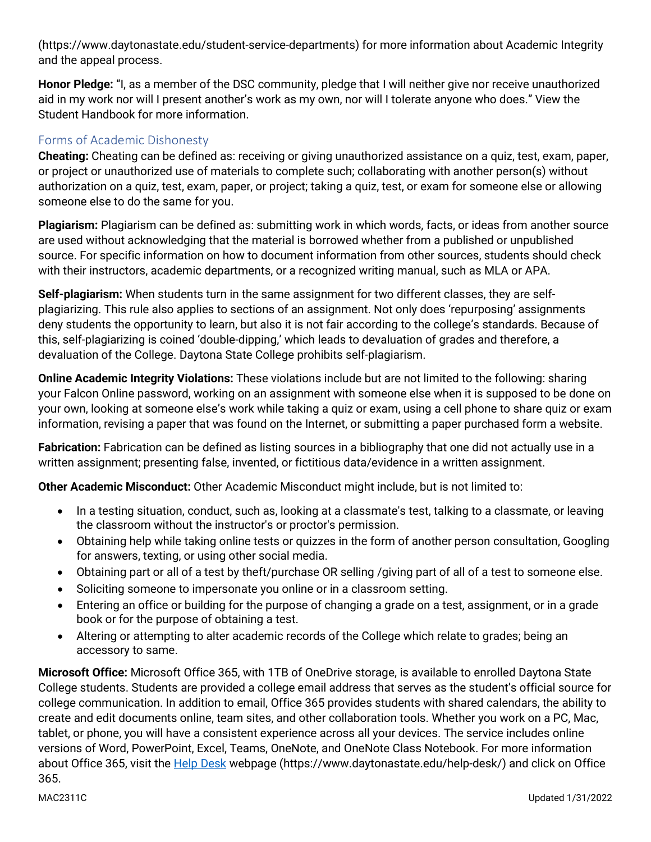(https://www.daytonastate.edu/student-service-departments) for more information about Academic Integrity and the appeal process.

**Honor Pledge:** "I, as a member of the DSC community, pledge that I will neither give nor receive unauthorized aid in my work nor will I present another's work as my own, nor will I tolerate anyone who does." View the Student Handbook for more information.

### Forms of Academic Dishonesty

**Cheating:** Cheating can be defined as: receiving or giving unauthorized assistance on a quiz, test, exam, paper, or project or unauthorized use of materials to complete such; collaborating with another person(s) without authorization on a quiz, test, exam, paper, or project; taking a quiz, test, or exam for someone else or allowing someone else to do the same for you.

**Plagiarism:** Plagiarism can be defined as: submitting work in which words, facts, or ideas from another source are used without acknowledging that the material is borrowed whether from a published or unpublished source. For specific information on how to document information from other sources, students should check with their instructors, academic departments, or a recognized writing manual, such as MLA or APA.

**Self-plagiarism:** When students turn in the same assignment for two different classes, they are selfplagiarizing. This rule also applies to sections of an assignment. Not only does 'repurposing' assignments deny students the opportunity to learn, but also it is not fair according to the college's standards. Because of this, self-plagiarizing is coined 'double-dipping,' which leads to devaluation of grades and therefore, a devaluation of the College. Daytona State College prohibits self-plagiarism.

**Online Academic Integrity Violations:** These violations include but are not limited to the following: sharing your Falcon Online password, working on an assignment with someone else when it is supposed to be done on your own, looking at someone else's work while taking a quiz or exam, using a cell phone to share quiz or exam information, revising a paper that was found on the Internet, or submitting a paper purchased form a website.

**Fabrication:** Fabrication can be defined as listing sources in a bibliography that one did not actually use in a written assignment; presenting false, invented, or fictitious data/evidence in a written assignment.

**Other Academic Misconduct:** Other Academic Misconduct might include, but is not limited to:

- In a testing situation, conduct, such as, looking at a classmate's test, talking to a classmate, or leaving the classroom without the instructor's or proctor's permission.
- Obtaining help while taking online tests or quizzes in the form of another person consultation, Googling for answers, texting, or using other social media.
- Obtaining part or all of a test by theft/purchase OR selling /giving part of all of a test to someone else.
- Soliciting someone to impersonate you online or in a classroom setting.
- Entering an office or building for the purpose of changing a grade on a test, assignment, or in a grade book or for the purpose of obtaining a test.
- Altering or attempting to alter academic records of the College which relate to grades; being an accessory to same.

**Microsoft Office:** Microsoft Office 365, with 1TB of OneDrive storage, is available to enrolled Daytona State College students. Students are provided a college email address that serves as the student's official source for college communication. In addition to email, Office 365 provides students with shared calendars, the ability to create and edit documents online, team sites, and other collaboration tools. Whether you work on a PC, Mac, tablet, or phone, you will have a consistent experience across all your devices. The service includes online versions of Word, PowerPoint, Excel, Teams, OneNote, and OneNote Class Notebook. For more information about Office 365, visit the **Help Desk** webpage (https://www.daytonastate.edu/help-desk/) and click on Office 365.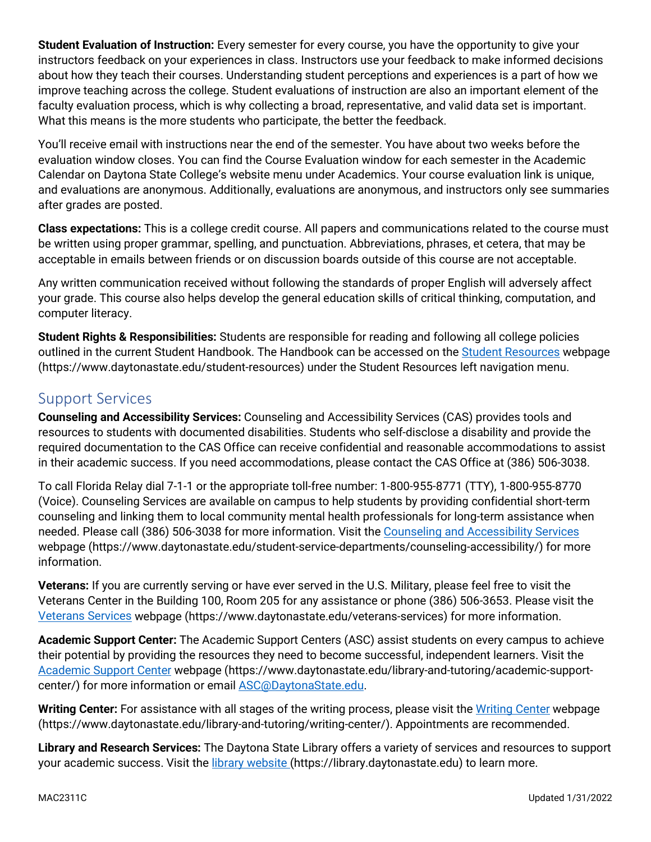**Student Evaluation of Instruction:** Every semester for every course, you have the opportunity to give your instructors feedback on your experiences in class. Instructors use your feedback to make informed decisions about how they teach their courses. Understanding student perceptions and experiences is a part of how we improve teaching across the college. Student evaluations of instruction are also an important element of the faculty evaluation process, which is why collecting a broad, representative, and valid data set is important. What this means is the more students who participate, the better the feedback.

You'll receive email with instructions near the end of the semester. You have about two weeks before the evaluation window closes. You can find the Course Evaluation window for each semester in the Academic Calendar on Daytona State College's website menu under Academics. Your course evaluation link is unique, and evaluations are anonymous. Additionally, evaluations are anonymous, and instructors only see summaries after grades are posted.

**Class expectations:** This is a college credit course. All papers and communications related to the course must be written using proper grammar, spelling, and punctuation. Abbreviations, phrases, et cetera, that may be acceptable in emails between friends or on discussion boards outside of this course are not acceptable.

Any written communication received without following the standards of proper English will adversely affect your grade. This course also helps develop the general education skills of critical thinking, computation, and computer literacy.

**Student Rights & Responsibilities:** Students are responsible for reading and following all college policies outlined in the current Student Handbook. The Handbook can be accessed on the [Student Resources](https://www.daytonastate.edu/student-resources) webpage (https://www.daytonastate.edu/student-resources) under the Student Resources left navigation menu.

# Support Services

**Counseling and Accessibility Services:** Counseling and Accessibility Services (CAS) provides tools and resources to students with documented disabilities. Students who self-disclose a disability and provide the required documentation to the CAS Office can receive confidential and reasonable accommodations to assist in their academic success. If you need accommodations, please contact the CAS Office at (386) 506-3038.

To call Florida Relay dial 7-1-1 or the appropriate toll-free number: 1-800-955-8771 (TTY), 1-800-955-8770 (Voice). Counseling Services are available on campus to help students by providing confidential short-term counseling and linking them to local community mental health professionals for long-term assistance when needed. Please call (386) 506-3038 for more information. Visit the [Counseling and Accessibility Services](https://www.daytonastate.edu/student-service-departments/counseling-accessibility/) webpage (https://www.daytonastate.edu/student-service-departments/counseling-accessibility/) for more information.

**Veterans:** If you are currently serving or have ever served in the U.S. Military, please feel free to visit the Veterans Center in the Building 100, Room 205 for any assistance or phone (386) 506-3653. Please visit the [Veterans Services](https://www.daytonastate.edu/veterans-services) webpage (https://www.daytonastate.edu/veterans-services) for more information.

**Academic Support Center:** The Academic Support Centers (ASC) assist students on every campus to achieve their potential by providing the resources they need to become successful, independent learners. Visit the [Academic Support Center](https://www.daytonastate.edu/library-and-tutoring/academic-support-center/index.html) webpage (https://www.daytonastate.edu/library-and-tutoring/academic-supportcenter/) for more information or email [ASC@DaytonaState.edu.](mailto:ASC@DaytonaState.edu)

**Writing Center:** For assistance with all stages of the writing process, please visit the [Writing Center](https://www.daytonastate.edu/library-and-tutoring/writing-center/) webpage (https://www.daytonastate.edu/library-and-tutoring/writing-center/). Appointments are recommended.

**Library and Research Services:** The Daytona State Library offers a variety of services and resources to support your academic success. Visit the [library website \(](https://library.daytonastate.edu/index)https://library.daytonastate.edu) to learn more.